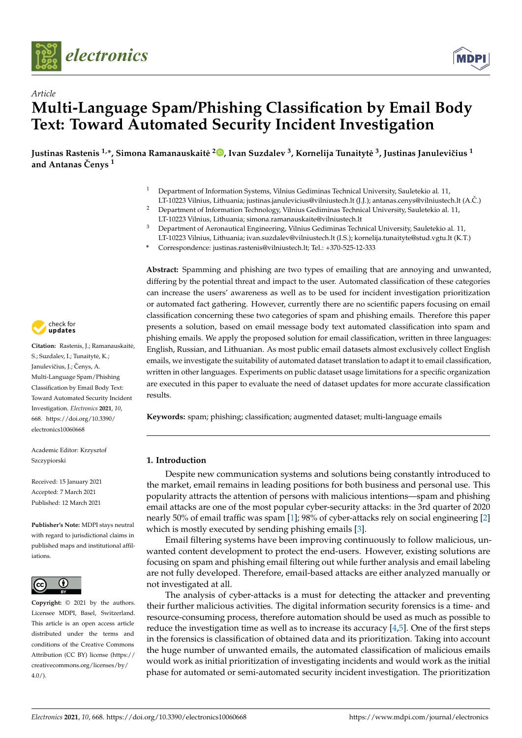



# *Article* **Multi-Language Spam/Phishing Classification by Email Body Text: Toward Automated Security Incident Investigation**

**Justinas Rastenis 1,\*, Simona Ramanauskaite˙ 2 [,](https://orcid.org/0000-0003-3195-4280) Ivan Suzdalev <sup>3</sup> , Kornelija Tunaityte˙ 3 , Justinas Januleviˇcius <sup>1</sup> and Antanas Cenys ˇ <sup>1</sup>**

- <sup>1</sup> Department of Information Systems, Vilnius Gediminas Technical University, Sauletekio al. 11,
- LT-10223 Vilnius, Lithuania; justinas.janulevicius@vilniustech.lt (J.J.); antanas.cenys@vilniustech.lt (A.C.) ˇ <sup>2</sup> Department of Information Technology, Vilnius Gediminas Technical University, Sauletekio al. 11, LT-10223 Vilnius, Lithuania; simona.ramanauskaite@vilniustech.lt
- <sup>3</sup> Department of Aeronautical Engineering, Vilnius Gediminas Technical University, Sauletekio al. 11, LT-10223 Vilnius, Lithuania; ivan.suzdalev@vilniustech.lt (I.S.); kornelija.tunaityte@stud.vgtu.lt (K.T.)
- **\*** Correspondence: justinas.rastenis@vilniustech.lt; Tel.: +370-525-12-333

**Abstract:** Spamming and phishing are two types of emailing that are annoying and unwanted, differing by the potential threat and impact to the user. Automated classification of these categories can increase the users' awareness as well as to be used for incident investigation prioritization or automated fact gathering. However, currently there are no scientific papers focusing on email classification concerning these two categories of spam and phishing emails. Therefore this paper presents a solution, based on email message body text automated classification into spam and phishing emails. We apply the proposed solution for email classification, written in three languages: English, Russian, and Lithuanian. As most public email datasets almost exclusively collect English emails, we investigate the suitability of automated dataset translation to adapt it to email classification, written in other languages. Experiments on public dataset usage limitations for a specific organization are executed in this paper to evaluate the need of dataset updates for more accurate classification results.

**Keywords:** spam; phishing; classification; augmented dataset; multi-language emails

## **1. Introduction**

Despite new communication systems and solutions being constantly introduced to the market, email remains in leading positions for both business and personal use. This popularity attracts the attention of persons with malicious intentions—spam and phishing email attacks are one of the most popular cyber-security attacks: in the 3rd quarter of 2020 nearly 50% of email traffic was spam [\[1\]](#page-8-0); 98% of cyber-attacks rely on social engineering [\[2\]](#page-8-1) which is mostly executed by sending phishing emails [\[3\]](#page-8-2).

Email filtering systems have been improving continuously to follow malicious, unwanted content development to protect the end-users. However, existing solutions are focusing on spam and phishing email filtering out while further analysis and email labeling are not fully developed. Therefore, email-based attacks are either analyzed manually or not investigated at all.

The analysis of cyber-attacks is a must for detecting the attacker and preventing their further malicious activities. The digital information security forensics is a time- and resource-consuming process, therefore automation should be used as much as possible to reduce the investigation time as well as to increase its accuracy  $[4,5]$  $[4,5]$ . One of the first steps in the forensics is classification of obtained data and its prioritization. Taking into account the huge number of unwanted emails, the automated classification of malicious emails would work as initial prioritization of investigating incidents and would work as the initial phase for automated or semi-automated security incident investigation. The prioritization



Citation: Rastenis, J.; Ramanauskaitė, S.; Suzdalev, I.; Tunaitytė, K.; Janulevičius, J.; Čenys, A. Multi-Language Spam/Phishing Classification by Email Body Text: Toward Automated Security Incident Investigation. *Electronics* **2021**, *10*, 668. [https://doi.org/10.3390/](https://doi.org/10.3390/electronics10060668) [electronics10060668](https://doi.org/10.3390/electronics10060668)

Academic Editor: Krzysztof Szczypiorski

Received: 15 January 2021 Accepted: 7 March 2021 Published: 12 March 2021

**Publisher's Note:** MDPI stays neutral with regard to jurisdictional claims in published maps and institutional affiliations.



**Copyright:** © 2021 by the authors. Licensee MDPI, Basel, Switzerland. This article is an open access article distributed under the terms and conditions of the Creative Commons Attribution (CC BY) license (https:/[/](https://creativecommons.org/licenses/by/4.0/) [creativecommons.org/licenses/by/](https://creativecommons.org/licenses/by/4.0/)  $4.0/$ ).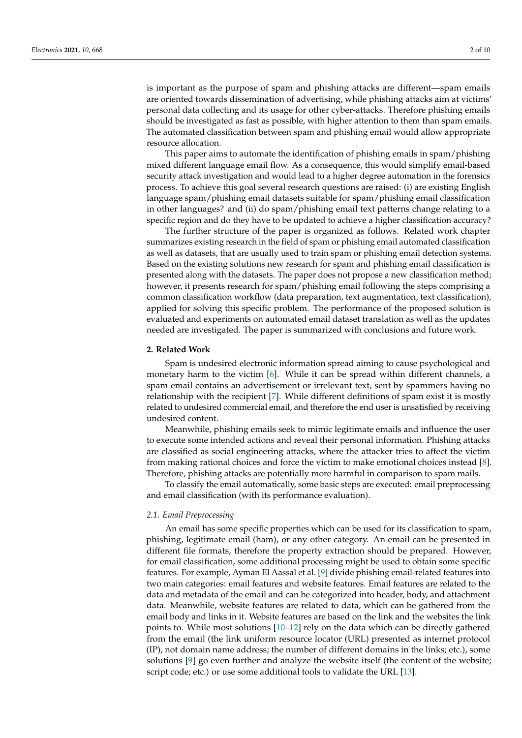is important as the purpose of spam and phishing attacks are different—spam emails are oriented towards dissemination of advertising, while phishing attacks aim at victims' personal data collecting and its usage for other cyber-attacks. Therefore phishing emails should be investigated as fast as possible, with higher attention to them than spam emails. The automated classification between spam and phishing email would allow appropriate resource allocation.

This paper aims to automate the identification of phishing emails in spam/phishing mixed different language email flow. As a consequence, this would simplify email-based security attack investigation and would lead to a higher degree automation in the forensics process. To achieve this goal several research questions are raised: (i) are existing English language spam/phishing email datasets suitable for spam/phishing email classification in other languages? and (ii) do spam/phishing email text patterns change relating to a specific region and do they have to be updated to achieve a higher classification accuracy?

The further structure of the paper is organized as follows. Related work chapter summarizes existing research in the field of spam or phishing email automated classification as well as datasets, that are usually used to train spam or phishing email detection systems. Based on the existing solutions new research for spam and phishing email classification is presented along with the datasets. The paper does not propose a new classification method; however, it presents research for spam/phishing email following the steps comprising a common classification workflow (data preparation, text augmentation, text classification), applied for solving this specific problem. The performance of the proposed solution is evaluated and experiments on automated email dataset translation as well as the updates needed are investigated. The paper is summarized with conclusions and future work.

## **2. Related Work**

Spam is undesired electronic information spread aiming to cause psychological and monetary harm to the victim [\[6\]](#page-8-5). While it can be spread within different channels, a spam email contains an advertisement or irrelevant text, sent by spammers having no relationship with the recipient [\[7\]](#page-8-6). While different definitions of spam exist it is mostly related to undesired commercial email, and therefore the end user is unsatisfied by receiving undesired content.

Meanwhile, phishing emails seek to mimic legitimate emails and influence the user to execute some intended actions and reveal their personal information. Phishing attacks are classified as social engineering attacks, where the attacker tries to affect the victim from making rational choices and force the victim to make emotional choices instead [\[8\]](#page-8-7). Therefore, phishing attacks are potentially more harmful in comparison to spam mails.

To classify the email automatically, some basic steps are executed: email preprocessing and email classification (with its performance evaluation).

## *2.1. Email Preprocessing*

An email has some specific properties which can be used for its classification to spam, phishing, legitimate email (ham), or any other category. An email can be presented in different file formats, therefore the property extraction should be prepared. However, for email classification, some additional processing might be used to obtain some specific features. For example, Ayman El Aassal et al. [\[9\]](#page-8-8) divide phishing email-related features into two main categories: email features and website features. Email features are related to the data and metadata of the email and can be categorized into header, body, and attachment data. Meanwhile, website features are related to data, which can be gathered from the email body and links in it. Website features are based on the link and the websites the link points to. While most solutions [\[10](#page-8-9)[–12\]](#page-8-10) rely on the data which can be directly gathered from the email (the link uniform resource locator (URL) presented as internet protocol (IP), not domain name address; the number of different domains in the links; etc.), some solutions  $[9]$  go even further and analyze the website itself (the content of the website; script code; etc.) or use some additional tools to validate the URL [\[13\]](#page-8-11).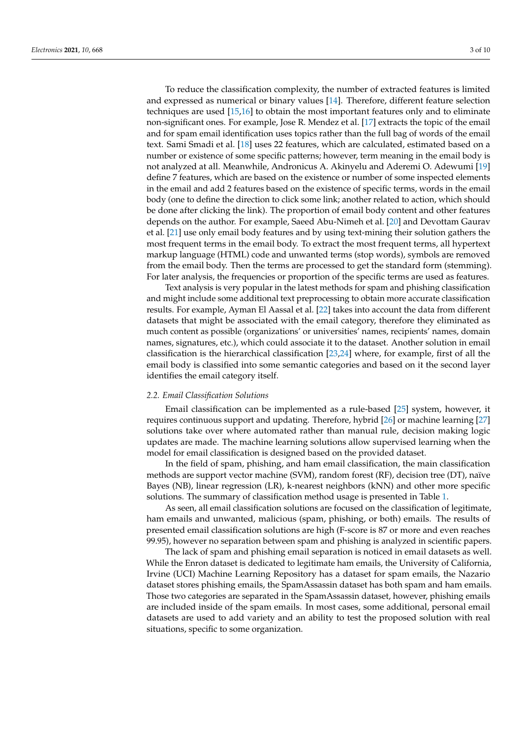To reduce the classification complexity, the number of extracted features is limited and expressed as numerical or binary values [\[14\]](#page-8-12). Therefore, different feature selection techniques are used [\[15](#page-8-13)[,16\]](#page-8-14) to obtain the most important features only and to eliminate non-significant ones. For example, Jose R. Mendez et al. [\[17\]](#page-8-15) extracts the topic of the email and for spam email identification uses topics rather than the full bag of words of the email text. Sami Smadi et al. [\[18\]](#page-8-16) uses 22 features, which are calculated, estimated based on a number or existence of some specific patterns; however, term meaning in the email body is not analyzed at all. Meanwhile, Andronicus A. Akinyelu and Aderemi O. Adewumi [\[19\]](#page-8-17) define 7 features, which are based on the existence or number of some inspected elements in the email and add 2 features based on the existence of specific terms, words in the email body (one to define the direction to click some link; another related to action, which should be done after clicking the link). The proportion of email body content and other features depends on the author. For example, Saeed Abu-Nimeh et al. [\[20\]](#page-8-18) and Devottam Gaurav et al. [\[21\]](#page-8-19) use only email body features and by using text-mining their solution gathers the most frequent terms in the email body. To extract the most frequent terms, all hypertext markup language (HTML) code and unwanted terms (stop words), symbols are removed from the email body. Then the terms are processed to get the standard form (stemming). For later analysis, the frequencies or proportion of the specific terms are used as features.

Text analysis is very popular in the latest methods for spam and phishing classification and might include some additional text preprocessing to obtain more accurate classification results. For example, Ayman El Aassal et al. [\[22\]](#page-8-20) takes into account the data from different datasets that might be associated with the email category, therefore they eliminated as much content as possible (organizations' or universities' names, recipients' names, domain names, signatures, etc.), which could associate it to the dataset. Another solution in email classification is the hierarchical classification [\[23](#page-8-21)[,24\]](#page-8-22) where, for example, first of all the email body is classified into some semantic categories and based on it the second layer identifies the email category itself.

## *2.2. Email Classification Solutions*

Email classification can be implemented as a rule-based [\[25\]](#page-8-23) system, however, it requires continuous support and updating. Therefore, hybrid [\[26\]](#page-9-0) or machine learning [\[27\]](#page-9-1) solutions take over where automated rather than manual rule, decision making logic updates are made. The machine learning solutions allow supervised learning when the model for email classification is designed based on the provided dataset.

In the field of spam, phishing, and ham email classification, the main classification methods are support vector machine (SVM), random forest (RF), decision tree (DT), naïve Bayes (NB), linear regression (LR), k-nearest neighbors (kNN) and other more specific solutions. The summary of classification method usage is presented in Table [1.](#page-3-0)

As seen, all email classification solutions are focused on the classification of legitimate, ham emails and unwanted, malicious (spam, phishing, or both) emails. The results of presented email classification solutions are high (F-score is 87 or more and even reaches 99.95), however no separation between spam and phishing is analyzed in scientific papers.

The lack of spam and phishing email separation is noticed in email datasets as well. While the Enron dataset is dedicated to legitimate ham emails, the University of California, Irvine (UCI) Machine Learning Repository has a dataset for spam emails, the Nazario dataset stores phishing emails, the SpamAssassin dataset has both spam and ham emails. Those two categories are separated in the SpamAssassin dataset, however, phishing emails are included inside of the spam emails. In most cases, some additional, personal email datasets are used to add variety and an ability to test the proposed solution with real situations, specific to some organization.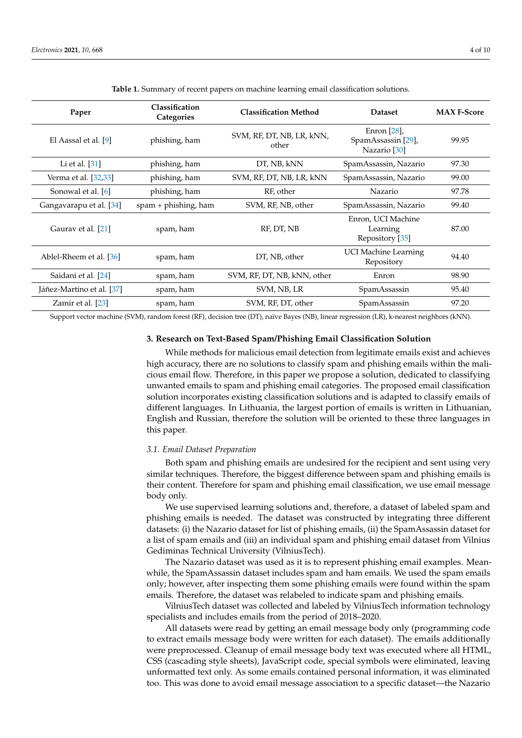<span id="page-3-0"></span>

| Paper                     | Classification<br>Categories | <b>Classification Method</b>                                                               | <b>Dataset</b>                                    | <b>MAX F-Score</b> |
|---------------------------|------------------------------|--------------------------------------------------------------------------------------------|---------------------------------------------------|--------------------|
| El Aassal et al. [9]      | phishing, ham                | Enron $[28]$ ,<br>SVM, RF, DT, NB, LR, kNN,<br>SpamAssassin [29],<br>other<br>Nazario [30] |                                                   | 99.95              |
| Li et al. $[31]$          | phishing, ham                | DT, NB, kNN<br>SpamAssassin, Nazario                                                       |                                                   | 97.30              |
| Verma et al. [32,33]      | phishing, ham                | SVM, RF, DT, NB, LR, kNN                                                                   | SpamAssassin, Nazario                             | 99.00              |
| Sonowal et al. [6]        | phishing, ham                | RF, other                                                                                  | Nazario                                           | 97.78              |
| Gangavarapu et al. [34]   | $spam + phishing$ , ham      | SVM, RF, NB, other                                                                         | SpamAssassin, Nazario                             | 99.40              |
| Gaurav et al. [21]        | spam, ham                    | RF, DT, NB                                                                                 | Enron, UCI Machine<br>Learning<br>Repository [35] | 87.00              |
| Ablel-Rheem et al. [36]   | spam, ham                    | DT, NB, other                                                                              | <b>UCI Machine Learning</b><br>Repository         | 94.40              |
| Saidani et al. [24]       | spam, ham                    | SVM, RF, DT, NB, kNN, other                                                                | Enron                                             | 98.90              |
| Jáñez-Martino et al. [37] | spam, ham                    | SVM, NB, LR                                                                                | SpamAssassin                                      | 95.40              |
| Zamir et al. [23]         | spam, ham                    | SVM, RF, DT, other                                                                         | SpamAssassin                                      | 97.20              |

**Table 1.** Summary of recent papers on machine learning email classification solutions.

Support vector machine (SVM), random forest (RF), decision tree (DT), naïve Bayes (NB), linear regression (LR), k-nearest neighbors (kNN).

# **3. Research on Text-Based Spam/Phishing Email Classification Solution**

While methods for malicious email detection from legitimate emails exist and achieves high accuracy, there are no solutions to classify spam and phishing emails within the malicious email flow. Therefore, in this paper we propose a solution, dedicated to classifying unwanted emails to spam and phishing email categories. The proposed email classification solution incorporates existing classification solutions and is adapted to classify emails of different languages. In Lithuania, the largest portion of emails is written in Lithuanian, English and Russian, therefore the solution will be oriented to these three languages in this paper.

## *3.1. Email Dataset Preparation*

Both spam and phishing emails are undesired for the recipient and sent using very similar techniques. Therefore, the biggest difference between spam and phishing emails is their content. Therefore for spam and phishing email classification, we use email message body only.

We use supervised learning solutions and, therefore, a dataset of labeled spam and phishing emails is needed. The dataset was constructed by integrating three different datasets: (i) the Nazario dataset for list of phishing emails, (ii) the SpamAssassin dataset for a list of spam emails and (iii) an individual spam and phishing email dataset from Vilnius Gediminas Technical University (VilniusTech).

The Nazario dataset was used as it is to represent phishing email examples. Meanwhile, the SpamAssassin dataset includes spam and ham emails. We used the spam emails only; however, after inspecting them some phishing emails were found within the spam emails. Therefore, the dataset was relabeled to indicate spam and phishing emails.

VilniusTech dataset was collected and labeled by VilniusTech information technology specialists and includes emails from the period of 2018–2020.

All datasets were read by getting an email message body only (programming code to extract emails message body were written for each dataset). The emails additionally were preprocessed. Cleanup of email message body text was executed where all HTML, CSS (cascading style sheets), JavaScript code, special symbols were eliminated, leaving unformatted text only. As some emails contained personal information, it was eliminated too. This was done to avoid email message association to a specific dataset—the Nazario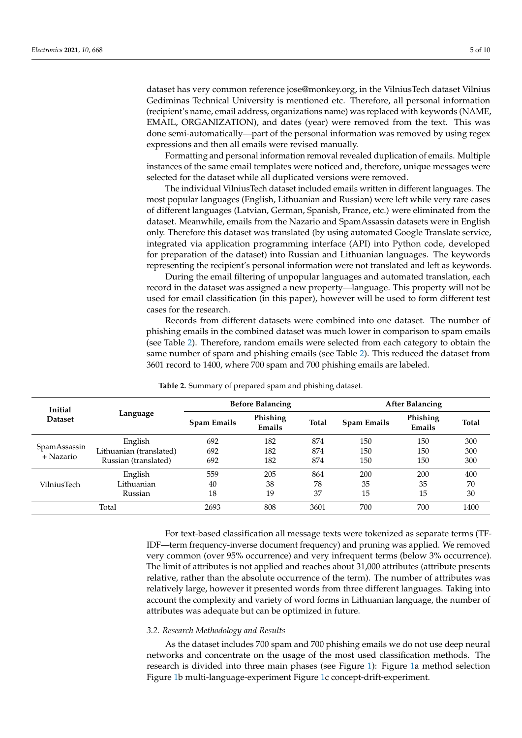dataset has very common reference jose@monkey.org, in the VilniusTech dataset Vilnius Gediminas Technical University is mentioned etc. Therefore, all personal information (recipient's name, email address, organizations name) was replaced with keywords (NAME, EMAIL, ORGANIZATION), and dates (year) were removed from the text. This was done semi-automatically—part of the personal information was removed by using regex expressions and then all emails were revised manually.

Formatting and personal information removal revealed duplication of emails. Multiple instances of the same email templates were noticed and, therefore, unique messages were selected for the dataset while all duplicated versions were removed.

The individual VilniusTech dataset included emails written in different languages. The most popular languages (English, Lithuanian and Russian) were left while very rare cases of different languages (Latvian, German, Spanish, France, etc.) were eliminated from the dataset. Meanwhile, emails from the Nazario and SpamAssassin datasets were in English only. Therefore this dataset was translated (by using automated Google Translate service, integrated via application programming interface (API) into Python code, developed for preparation of the dataset) into Russian and Lithuanian languages. The keywords representing the recipient's personal information were not translated and left as keywords.

During the email filtering of unpopular languages and automated translation, each record in the dataset was assigned a new property—language. This property will not be used for email classification (in this paper), however will be used to form different test cases for the research.

Records from different datasets were combined into one dataset. The number of phishing emails in the combined dataset was much lower in comparison to spam emails (see Table [2\)](#page-4-0). Therefore, random emails were selected from each category to obtain the same number of spam and phishing emails (see Table [2\)](#page-4-0). This reduced the dataset from 3601 record to 1400, where 700 spam and 700 phishing emails are labeled.

<span id="page-4-0"></span>

| Initial                   |                         | <b>Before Balancing</b> |                    |              | <b>After Balancing</b> |                    |       |
|---------------------------|-------------------------|-------------------------|--------------------|--------------|------------------------|--------------------|-------|
| <b>Dataset</b>            | Language                | <b>Spam Emails</b>      | Phishing<br>Emails | <b>Total</b> | <b>Spam Emails</b>     | Phishing<br>Emails | Total |
| SpamAssassin<br>+ Nazario | English                 | 692                     | 182                | 874          | 150                    | 150                | 300   |
|                           | Lithuanian (translated) | 692                     | 182                | 874          | 150                    | 150                | 300   |
|                           | Russian (translated)    | 692                     | 182                | 874          | 150                    | 150                | 300   |
|                           | English                 | 559                     | 205                | 864          | 200                    | 200                | 400   |
| VilniusTech               | Lithuanian              | 40                      | 38                 | 78           | 35                     | 35                 | 70    |
|                           | Russian                 | 18                      | 19                 | 37           | 15                     | 15                 | 30    |
| Total                     |                         | 2693                    | 808                | 3601         | 700                    | 700                | 1400  |

**Table 2.** Summary of prepared spam and phishing dataset.

For text-based classification all message texts were tokenized as separate terms (TF-IDF—term frequency-inverse document frequency) and pruning was applied. We removed very common (over 95% occurrence) and very infrequent terms (below 3% occurrence). The limit of attributes is not applied and reaches about 31,000 attributes (attribute presents relative, rather than the absolute occurrence of the term). The number of attributes was relatively large, however it presented words from three different languages. Taking into account the complexity and variety of word forms in Lithuanian language, the number of attributes was adequate but can be optimized in future.

## *3.2. Research Methodology and Results*

As the dataset includes 700 spam and 700 phishing emails we do not use deep neural networks and concentrate on the usage of the most used classification methods. The research is divided into three main phases (see Figure [1\)](#page-5-0): Figure [1a](#page-5-0) method selection Figure [1b](#page-5-0) multi-language-experiment Figure [1c](#page-5-0) concept-drift-experiment.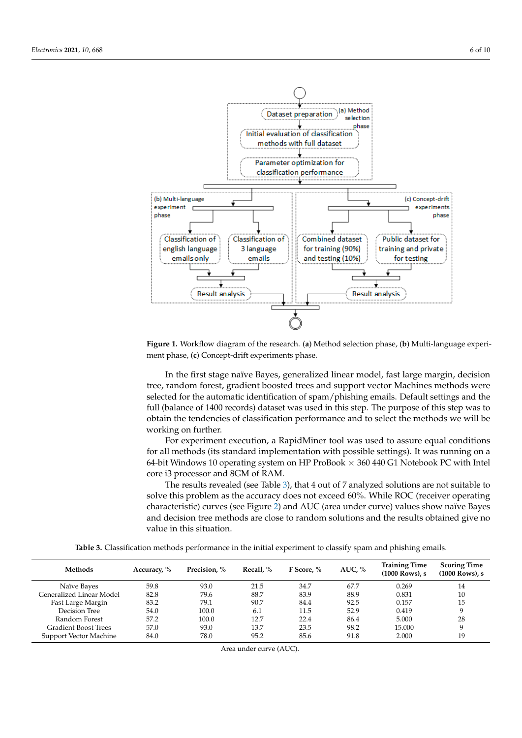<span id="page-5-0"></span>

Figure 1. Workflow diagram of the research. (a) Method selection phase, (b) Multi-language experiperiment phase, (**c**) Concept-drift experiments phase. ment phase, (**c**) Concept-drift experiments phase.

In the first stage naïve Bayes, generalized linear model, fast large margin, decision In the first stage naïve Bayes, generalized linear model, fast large margin, decision tree, random forest, gradient boosted trees and support vector Machines methods were tree, random forest, gradient boosted trees and support vector Machines methods were selected for the automatic identification of spam/phishing emails. Default settings and the selected for the automatic identification of spam/phishing emails. Default settings and the full (balance of 1400 records) dataset was used in this step. The purpose of this step was full (balance of 1400 records) dataset was used in this step. The purpose of this step was to obtain the tendencies of classification performance and to select the methods we will be be working on further. working on further.

For experiment execution, a RapidMiner tool was used to assure equal conditions for all methods (its standard implementation with possible settings). It was running on a 64-bit Windows 10 operating system on HP ProBook  $\times$  360 440 G1 Notebook PC with Intel core i3 processor and 8GM of RAM. core i3 processor and 8GM of RAM.

The results revealed (see Tab[le](#page-5-1) 3), that 4 out of 7 analyzed solutions are not suitable The results revealed (see Table 3), that 4 out of 7 analyzed solutions are not suitable to solve this problem as the accuracy does not exceed 60%. While ROC (receiver operating characteristic) curves (see Figur[e 2](#page-6-0)) and AUC (area under curve) values show naïve Bayes characteristic) curves (see Figure 2) and AUC (area under curve) values show naïve Bayes and decision tree methods are close to random solutions and the results obtained give no and decision tree methods are close to random solutions and the results obtained give no value in this situation. value in this situation.

Table 3. Classification methods performance in the initial experiment to classify spam and phishing emails.

<span id="page-5-1"></span>

| Methods                     | Accuracy, % | Precision. % | Recall. % | F Score. % | AUC, $%$ | <b>Training Time</b><br>(1000 Rows), s | <b>Scoring Time</b><br>$(1000$ Rows), s |
|-----------------------------|-------------|--------------|-----------|------------|----------|----------------------------------------|-----------------------------------------|
| Naïve Bayes                 | 59.8        | 93.0         | 21.5      | 34.7       | 67.7     | 0.269                                  | 14                                      |
| Generalized Linear Model    | 82.8        | 79.6         | 88.7      | 83.9       | 88.9     | 0.831                                  | 10                                      |
| Fast Large Margin           | 83.2        | 79.1         | 90.7      | 84.4       | 92.5     | 0.157                                  | 15                                      |
| Decision Tree               | 54.0        | 100.0        | 6.1       | 11.5       | 52.9     | 0.419                                  | 9                                       |
| Random Forest               | 57.2        | 100.0        | 12.7      | 22.4       | 86.4     | 5.000                                  | 28                                      |
| <b>Gradient Boost Trees</b> | 57.0        | 93.0         | 13.7      | 23.5       | 98.2     | 15.000                                 | 9                                       |
| Support Vector Machine      | 84.0        | 78.0         | 95.2      | 85.6       | 91.8     | 2.000                                  | 19                                      |

Area under curve (AUC).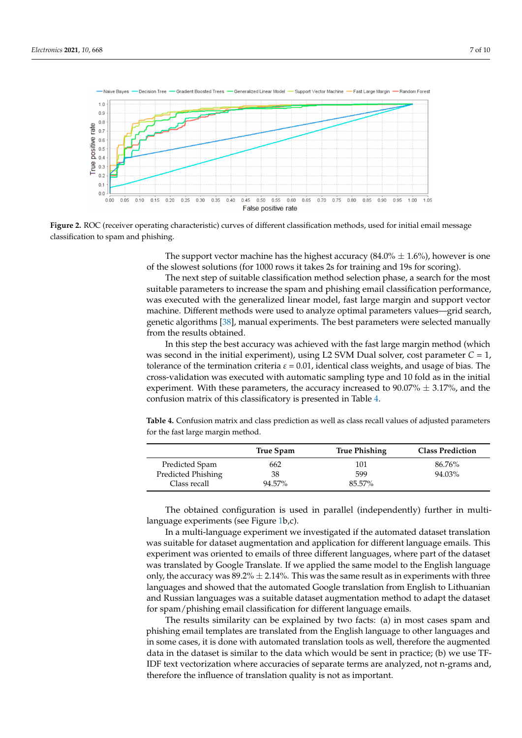<span id="page-6-0"></span>

Figure 2. ROC (receiver operating characteristic) curves of different classification methods, used for initial email message classification to spam and phishing. classification to spam and phishing.

The support vector machine has the highest accuracy (84.0%  $\pm$  1.6%), however is one of the slowest solutions (for 1000 rows it takes 2s for training and 19s for scoring). of the slowest solutions (for 1000 rows it takes 2s for training and 19s for scoring).

The next step of suitable classification method selection phase, a search for the most The next step of suitable classification method selection phase, a search for the most suitable parameters to increase the spam and phishing email classification performance, suitable parameters to increase the spam and phishing email classification performance, was executed with the generalized linear model, fast large margin and support vector was executed with the generalized linear model, fast large margin and support vector machine. Different methods were used to analyze optimal parameters values—grid machine. Different methods were used to analyze optimal parameters values—grid search, genetic algorithms [\[38\]](#page-9-12), manual experiments. The best parameters were selected manually from the results obtained.

In this step the best accuracy was achieved with the fast large margin method (which In this step the best accuracy was achieved with the fast large margin method (which was second in the initial experiment), using L2 SVM Dual solver, cost parameter *C* = 1, was second in the initial experiment), using L2 SVM Dual solver, cost parameter *C* = 1, tolerance of the termination criteria  $ε = 0.01$ , identical class weights, and usage of bias. The cross-validation was executed with automatic sampling type and 10 fold as in the initial cross-validation was executed with automatic sampling type and 10 fold as in the initial experiment. With these parameters, the accuracy increased to  $90.07\% \pm 3.17\%$ , and the confusion matrix of this classificatory is presented in Table 4. confusion matrix of this classificatory is presented in Table [4.](#page-6-1)

<span id="page-6-1"></span>Table 4. Confusion matrix and class prediction as well as class recall values of adjusted parameters for the fast large margin method.

|                    | True Spam | <b>True Phishing</b> | <b>Class Prediction</b> |
|--------------------|-----------|----------------------|-------------------------|
| Predicted Spam     | 662       | 101                  | 86.76%                  |
| Predicted Phishing | 38        | 599                  | 94.03%                  |
| Class recall       | 94.57%    | 85.57%               |                         |

The obtained configuration is used in parallel (independently) further in multiguage experiments (see Figure 1b,c). language experiments (see Figure [1b](#page-5-0),c).

In a multi-language experiment we investigated if the automated dataset translation In a multi-language experiment we investigated if the automated dataset translation was suitable for dataset augmentation and application for different language emails. This was suitable for dataset augmentation and application for different language emails. This experiment was oriented to emails of three different languages, where part of the dataset experiment was oriented to emails of three different languages, where part of the dataset was translated by Google Translate. If we applied the same model to the English language was translated by Google Translate. If we applied the same model to the English language only, the accuracy was  $89.2\% \pm 2.14\%$ . This was the same result as in experiments with three languages and showed that the automated Google translation from English to Lithuanian and Russian languages was a suitable dataset augmentation method to adapt the dataset for spam/phishing email classification for different language emails.

The results similarity can be explained by two facts: (a) in most cases spam and phishing email templates are translated from the English language to other languages and some cases, it is done with automated translation tools as well, therefore the augmented in some cases, it is done with automated translation tools as well, therefore the augmented data in the dataset is similar to the data which would be sent in practice; (b) we use TF-data in the dataset is similar to the data which would be sent in practice; (b) we use TF-IDF text vectorization where accuracies of separate terms are analyzed, not n-grams and, IDF text vectorization where accuracies of separate terms are analyzed, not n-grams and, therefore the influence of translation quality is not as important. therefore the influence of translation quality is not as important.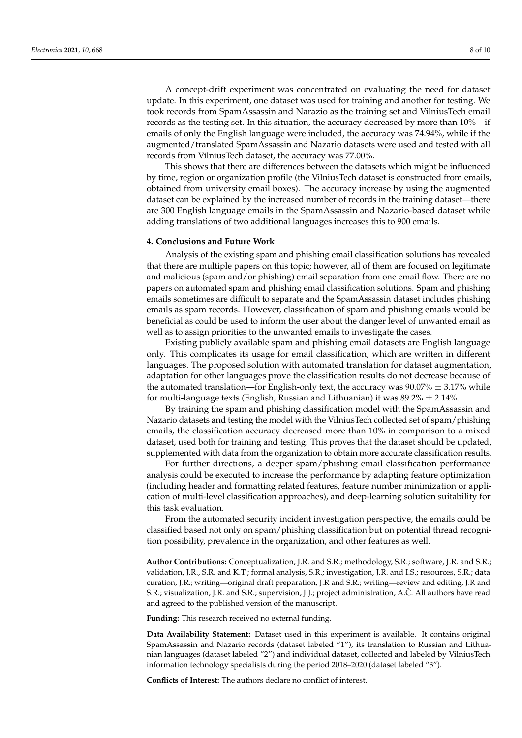A concept-drift experiment was concentrated on evaluating the need for dataset update. In this experiment, one dataset was used for training and another for testing. We took records from SpamAssassin and Narazio as the training set and VilniusTech email records as the testing set. In this situation, the accuracy decreased by more than 10%—if emails of only the English language were included, the accuracy was 74.94%, while if the augmented/translated SpamAssassin and Nazario datasets were used and tested with all records from VilniusTech dataset, the accuracy was 77.00%.

This shows that there are differences between the datasets which might be influenced by time, region or organization profile (the VilniusTech dataset is constructed from emails, obtained from university email boxes). The accuracy increase by using the augmented dataset can be explained by the increased number of records in the training dataset—there are 300 English language emails in the SpamAssassin and Nazario-based dataset while adding translations of two additional languages increases this to 900 emails.

## **4. Conclusions and Future Work**

Analysis of the existing spam and phishing email classification solutions has revealed that there are multiple papers on this topic; however, all of them are focused on legitimate and malicious (spam and/or phishing) email separation from one email flow. There are no papers on automated spam and phishing email classification solutions. Spam and phishing emails sometimes are difficult to separate and the SpamAssassin dataset includes phishing emails as spam records. However, classification of spam and phishing emails would be beneficial as could be used to inform the user about the danger level of unwanted email as well as to assign priorities to the unwanted emails to investigate the cases.

Existing publicly available spam and phishing email datasets are English language only. This complicates its usage for email classification, which are written in different languages. The proposed solution with automated translation for dataset augmentation, adaptation for other languages prove the classification results do not decrease because of the automated translation—for English-only text, the accuracy was  $90.07\% \pm 3.17\%$  while for multi-language texts (English, Russian and Lithuanian) it was  $89.2\% \pm 2.14\%$ .

By training the spam and phishing classification model with the SpamAssassin and Nazario datasets and testing the model with the VilniusTech collected set of spam/phishing emails, the classification accuracy decreased more than 10% in comparison to a mixed dataset, used both for training and testing. This proves that the dataset should be updated, supplemented with data from the organization to obtain more accurate classification results.

For further directions, a deeper spam/phishing email classification performance analysis could be executed to increase the performance by adapting feature optimization (including header and formatting related features, feature number minimization or application of multi-level classification approaches), and deep-learning solution suitability for this task evaluation.

From the automated security incident investigation perspective, the emails could be classified based not only on spam/phishing classification but on potential thread recognition possibility, prevalence in the organization, and other features as well.

**Author Contributions:** Conceptualization, J.R. and S.R.; methodology, S.R.; software, J.R. and S.R.; validation, J.R., S.R. and K.T.; formal analysis, S.R.; investigation, J.R. and I.S.; resources, S.R.; data curation, J.R.; writing—original draft preparation, J.R and S.R.; writing—review and editing, J.R and S.R.; visualization, J.R. and S.R.; supervision, J.J.; project administration, A.Č. All authors have read and agreed to the published version of the manuscript.

**Funding:** This research received no external funding.

**Data Availability Statement:** Dataset used in this experiment is available. It contains original SpamAssassin and Nazario records (dataset labeled "1"), its translation to Russian and Lithuanian languages (dataset labeled "2") and individual dataset, collected and labeled by VilniusTech information technology specialists during the period 2018–2020 (dataset labeled "3").

**Conflicts of Interest:** The authors declare no conflict of interest.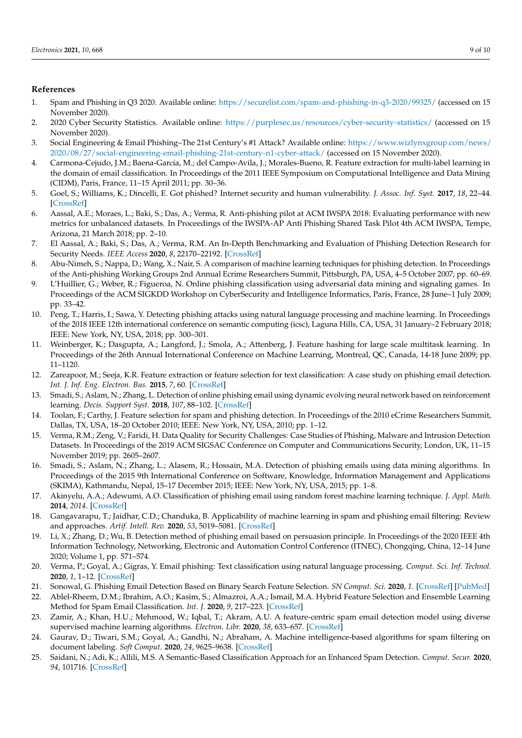## **References**

- <span id="page-8-0"></span>1. Spam and Phishing in Q3 2020. Available online: <https://securelist.com/spam-and-phishing-in-q3-2020/99325/> (accessed on 15 November 2020).
- <span id="page-8-1"></span>2. 2020 Cyber Security Statistics. Available online: <https://purplesec.us/resources/cyber-security-statistics/> (accessed on 15 November 2020).
- <span id="page-8-2"></span>3. Social Engineering & Email Phishing–The 21st Century's #1 Attack? Available online: [https://www.wizlynxgroup.com/news/](https://www.wizlynxgroup.com/news/2020/08/27/social-engineering-email-phishing-21st-century-n1-cyber-attack/) [2020/08/27/social-engineering-email-phishing-21st-century-n1-cyber-attack/](https://www.wizlynxgroup.com/news/2020/08/27/social-engineering-email-phishing-21st-century-n1-cyber-attack/) (accessed on 15 November 2020).
- <span id="page-8-3"></span>4. Carmona-Cejudo, J.M.; Baena-García, M.; del Campo-Avila, J.; Morales-Bueno, R. Feature extraction for multi-label learning in the domain of email classification. In Proceedings of the 2011 IEEE Symposium on Computational Intelligence and Data Mining (CIDM), Paris, France, 11–15 April 2011; pp. 30–36.
- <span id="page-8-4"></span>5. Goel, S.; Williams, K.; Dincelli, E. Got phished? Internet security and human vulnerability. *J. Assoc. Inf. Syst.* **2017**, *18*, 22–44. [\[CrossRef\]](http://doi.org/10.17705/1jais.00447)
- <span id="page-8-5"></span>6. Aassal, A.E.; Moraes, L.; Baki, S.; Das, A.; Verma, R. Anti-phishing pilot at ACM IWSPA 2018: Evaluating performance with new metrics for unbalanced datasets. In Proceedings of the IWSPA-AP Anti Phishing Shared Task Pilot 4th ACM IWSPA, Tempe, Arizona, 21 March 2018; pp. 2–10.
- <span id="page-8-6"></span>7. El Aassal, A.; Baki, S.; Das, A.; Verma, R.M. An In-Depth Benchmarking and Evaluation of Phishing Detection Research for Security Needs. *IEEE Access* **2020**, *8*, 22170–22192. [\[CrossRef\]](http://doi.org/10.1109/ACCESS.2020.2969780)
- <span id="page-8-7"></span>8. Abu-Nimeh, S.; Nappa, D.; Wang, X.; Nair, S. A comparison of machine learning techniques for phishing detection. In Proceedings of the Anti-phishing Working Groups 2nd Annual Ecrime Researchers Summit, Pittsburgh, PA, USA, 4–5 October 2007; pp. 60–69.
- <span id="page-8-8"></span>9. L'Huillier, G.; Weber, R.; Figueroa, N. Online phishing classification using adversarial data mining and signaling games. In Proceedings of the ACM SIGKDD Workshop on CyberSecurity and Intelligence Informatics, Paris, France, 28 June–1 July 2009; pp. 33–42.
- <span id="page-8-9"></span>10. Peng, T.; Harris, I.; Sawa, Y. Detecting phishing attacks using natural language processing and machine learning. In Proceedings of the 2018 IEEE 12th international conference on semantic computing (icsc), Laguna Hills, CA, USA, 31 January–2 February 2018; IEEE: New York, NY, USA, 2018; pp. 300–301.
- 11. Weinberger, K.; Dasgupta, A.; Langford, J.; Smola, A.; Attenberg, J. Feature hashing for large scale multitask learning. In Proceedings of the 26th Annual International Conference on Machine Learning, Montreal, QC, Canada, 14-18 June 2009; pp. 11–1120.
- <span id="page-8-10"></span>12. Zareapoor, M.; Seeja, K.R. Feature extraction or feature selection for text classification: A case study on phishing email detection. *Int. J. Inf. Eng. Electron. Bus.* **2015**, *7*, 60. [\[CrossRef\]](http://doi.org/10.5815/ijieeb.2015.02.08)
- <span id="page-8-11"></span>13. Smadi, S.; Aslam, N.; Zhang, L. Detection of online phishing email using dynamic evolving neural network based on reinforcement learning. *Decis. Support Syst.* **2018**, *107*, 88–102. [\[CrossRef\]](http://doi.org/10.1016/j.dss.2018.01.001)
- <span id="page-8-12"></span>14. Toolan, F.; Carthy, J. Feature selection for spam and phishing detection. In Proceedings of the 2010 eCrime Researchers Summit, Dallas, TX, USA, 18–20 October 2010; IEEE: New York, NY, USA, 2010; pp. 1–12.
- <span id="page-8-13"></span>15. Verma, R.M.; Zeng, V.; Faridi, H. Data Quality for Security Challenges: Case Studies of Phishing, Malware and Intrusion Detection Datasets. In Proceedings of the 2019 ACM SIGSAC Conference on Computer and Communications Security, London, UK, 11–15 November 2019; pp. 2605–2607.
- <span id="page-8-14"></span>16. Smadi, S.; Aslam, N.; Zhang, L.; Alasem, R.; Hossain, M.A. Detection of phishing emails using data mining algorithms. In Proceedings of the 2015 9th International Conference on Software, Knowledge, Information Management and Applications (SKIMA), Kathmandu, Nepal, 15–17 December 2015; IEEE: New York, NY, USA, 2015; pp. 1–8.
- <span id="page-8-15"></span>17. Akinyelu, A.A.; Adewumi, A.O. Classification of phishing email using random forest machine learning technique. *J. Appl. Math.* **2014**, *2014*. [\[CrossRef\]](http://doi.org/10.1155/2014/425731)
- <span id="page-8-16"></span>18. Gangavarapu, T.; Jaidhar, C.D.; Chanduka, B. Applicability of machine learning in spam and phishing email filtering: Review and approaches. *Artif. Intell. Rev.* **2020**, *53*, 5019–5081. [\[CrossRef\]](http://doi.org/10.1007/s10462-020-09814-9)
- <span id="page-8-17"></span>19. Li, X.; Zhang, D.; Wu, B. Detection method of phishing email based on persuasion principle. In Proceedings of the 2020 IEEE 4th Information Technology, Networking, Electronic and Automation Control Conference (ITNEC), Chongqing, China, 12–14 June 2020; Volume 1, pp. 571–574.
- <span id="page-8-18"></span>20. Verma, P.; Goyal, A.; Gigras, Y. Email phishing: Text classification using natural language processing. *Comput. Sci. Inf. Technol.* **2020**, *1*, 1–12. [\[CrossRef\]](http://doi.org/10.11591/csit.v1i1.p1-12)
- <span id="page-8-19"></span>21. Sonowal, G. Phishing Email Detection Based on Binary Search Feature Selection. *SN Comput. Sci.* **2020**, *1*. [\[CrossRef\]](http://doi.org/10.1007/s42979-020-00194-z) [\[PubMed\]](http://www.ncbi.nlm.nih.gov/pubmed/33063047)
- <span id="page-8-20"></span>22. Ablel-Rheem, D.M.; Ibrahim, A.O.; Kasim, S.; Almazroi, A.A.; Ismail, M.A. Hybrid Feature Selection and Ensemble Learning Method for Spam Email Classification. *Int. J.* **2020**, *9*, 217–223. [\[CrossRef\]](http://doi.org/10.30534/ijatcse/2020/3291.42020)
- <span id="page-8-21"></span>23. Zamir, A.; Khan, H.U.; Mehmood, W.; Iqbal, T.; Akram, A.U. A feature-centric spam email detection model using diverse supervised machine learning algorithms. *Electron. Libr.* **2020**, *38*, 633–657. [\[CrossRef\]](http://doi.org/10.1108/EL-07-2019-0181)
- <span id="page-8-22"></span>24. Gaurav, D.; Tiwari, S.M.; Goyal, A.; Gandhi, N.; Abraham, A. Machine intelligence-based algorithms for spam filtering on document labeling. *Soft Comput.* **2020**, *24*, 9625–9638. [\[CrossRef\]](http://doi.org/10.1007/s00500-019-04473-7)
- <span id="page-8-23"></span>25. Saidani, N.; Adi, K.; Allili, M.S. A Semantic-Based Classification Approach for an Enhanced Spam Detection. *Comput. Secur.* **2020**, *94*, 101716. [\[CrossRef\]](http://doi.org/10.1016/j.cose.2020.101716)